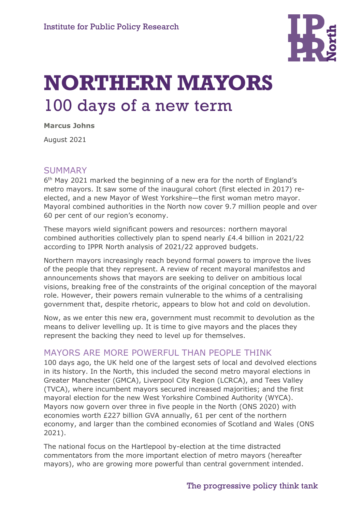

# **NORTHERN MAYORS**  100 days of a new term

**Marcus Johns**

August 2021

#### SUMMARY

6<sup>th</sup> May 2021 marked the beginning of a new era for the north of England's metro mayors. It saw some of the inaugural cohort (first elected in 2017) reelected, and a new Mayor of West Yorkshire—the first woman metro mayor. Mayoral combined authorities in the North now cover 9.7 million people and over 60 per cent of our region's economy.

These mayors wield significant powers and resources: northern mayoral combined authorities collectively plan to spend nearly £4.4 billion in 2021/22 according to IPPR North analysis of 2021/22 approved budgets.

Northern mayors increasingly reach beyond formal powers to improve the lives of the people that they represent. A review of recent mayoral manifestos and announcements shows that mayors are seeking to deliver on ambitious local visions, breaking free of the constraints of the original conception of the mayoral role. However, their powers remain vulnerable to the whims of a centralising government that, despite rhetoric, appears to blow hot and cold on devolution.

Now, as we enter this new era, government must recommit to devolution as the means to deliver levelling up. It is time to give mayors and the places they represent the backing they need to level up for themselves.

## MAYORS ARE MORE POWERFUL THAN PEOPLE THINK

100 days ago, the UK held one of the largest sets of local and devolved elections in its history. In the North, this included the second metro mayoral elections in Greater Manchester (GMCA), Liverpool City Region (LCRCA), and Tees Valley (TVCA), where incumbent mayors secured increased majorities; and the first mayoral election for the new West Yorkshire Combined Authority (WYCA). Mayors now govern over three in five people in the North (ONS 2020) with economies worth £227 billion GVA annually, 61 per cent of the northern economy, and larger than the combined economies of Scotland and Wales (ONS 2021).

The national focus on the Hartlepool by-election at the time distracted commentators from the more important election of metro mayors (hereafter mayors), who are growing more powerful than central government intended.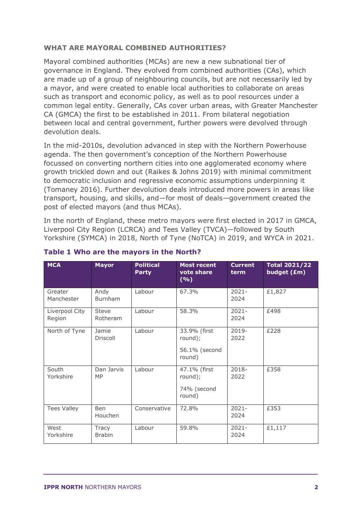#### **WHAT ARE MAYORAL COMBINED AUTHORITIES?**

Mayoral combined authorities (MCAs) are new a new subnational tier of governance in England. They evolved from combined authorities (CAs), which are made up of a group of neighbouring councils, but are not necessarily led by a mayor, and were created to enable local authorities to collaborate on areas such as transport and economic policy, as well as to pool resources under a common legal entity. Generally, CAs cover urban areas, with Greater Manchester CA (GMCA) the first to be established in 2011. From bilateral negotiation between local and central government, further powers were devolved through devolution deals.

In the mid-2010s, devolution advanced in step with the Northern Powerhouse agenda. The then government's conception of the Northern Powerhouse focussed on converting northern cities into one agglomerated economy where growth trickled down and out (Raikes & Johns 2019) with minimal commitment to democratic inclusion and regressive economic assumptions underpinning it (Tomaney 2016). Further devolution deals introduced more powers in areas like transport, housing, and skills, and—for most of deals—government created the post of elected mayors (and thus MCAs).

In the north of England, these metro mayors were first elected in 2017 in GMCA, Liverpool City Region (LCRCA) and Tees Valley (TVCA)—followed by South Yorkshire (SYMCA) in 2018, North of Tyne (NoTCA) in 2019, and WYCA in 2021.

| <b>MCA</b>               | <b>Mayor</b>                  | <b>Political</b><br><b>Party</b> | <b>Most recent</b><br>vote share<br>(%)            | <b>Current</b><br>term | <b>Total 2021/22</b><br>budget (£m) |
|--------------------------|-------------------------------|----------------------------------|----------------------------------------------------|------------------------|-------------------------------------|
| Greater<br>Manchester    | Andy<br>Burnham               | Labour                           | 67.3%                                              | $2021 -$<br>2024       | £1,827                              |
| Liverpool City<br>Region | Steve<br>Rotheram             | Labour                           | 58.3%                                              | $2021 -$<br>2024       | £498                                |
| North of Tyne            | Jamie<br>Driscoll             | Labour                           | 33.9% (first<br>round);<br>56.1% (second<br>round) | $2019 -$<br>2022       | £228                                |
| South<br>Yorkshire       | Dan Jarvis<br><b>MP</b>       | Labour                           | 47.1% (first<br>round);<br>74% (second<br>round)   | 2018-<br>2022          | £358                                |
| <b>Tees Valley</b>       | <b>Ben</b><br>Houchen         | Conservative                     | 72.8%                                              | $2021 -$<br>2024       | £353                                |
| West<br>Yorkshire        | <b>Tracy</b><br><b>Brabin</b> | Labour                           | 59.8%                                              | $2021 -$<br>2024       | £1,117                              |

#### **Table 1 Who are the mayors in the North?**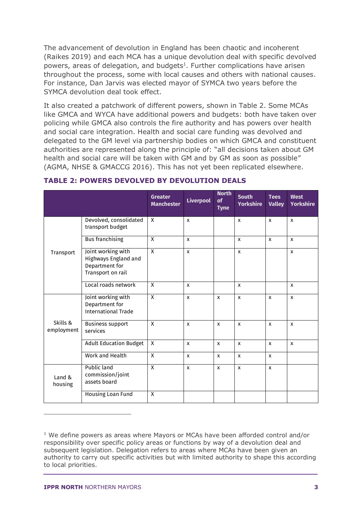The advancement of devolution in England has been chaotic and incoherent (Raikes 2019) and each MCA has a unique devolution deal with specific devolved powers, areas of delegation, and budgets<sup>1</sup>. Further complications have arisen throughout the process, some with local causes and others with national causes. For instance, Dan Jarvis was elected mayor of SYMCA two years before the SYMCA devolution deal took effect.

It also created a patchwork of different powers, shown in Table 2. Some MCAs like GMCA and WYCA have additional powers and budgets: both have taken over policing while GMCA also controls the fire authority and has powers over health and social care integration. Health and social care funding was devolved and delegated to the GM level via partnership bodies on which GMCA and constituent authorities are represented along the principle of: "all decisions taken about GM health and social care will be taken with GM and by GM as soon as possible" (AGMA, NHSE & GMACCG 2016). This has not yet been replicated elsewhere.

|                        |                                                                                   | <b>Greater</b><br><b>Manchester</b> | <b>Liverpool</b>          | <b>North</b><br>of<br><b>Tyne</b> | <b>South</b><br><b>Yorkshire</b> | <b>Tees</b><br><b>Valley</b> | <b>West</b><br><b>Yorkshire</b> |
|------------------------|-----------------------------------------------------------------------------------|-------------------------------------|---------------------------|-----------------------------------|----------------------------------|------------------------------|---------------------------------|
|                        | Devolved, consolidated<br>transport budget                                        | X                                   | $\boldsymbol{\mathsf{x}}$ |                                   | X                                | $\mathsf{x}$                 | $\boldsymbol{\mathsf{x}}$       |
| Transport              | <b>Bus</b> franchising                                                            | $\mathsf{X}$                        | $\mathsf{x}$              |                                   | X                                | $\mathsf{x}$                 | X                               |
|                        | Joint working with<br>Highways England and<br>Department for<br>Transport on rail | $\mathsf{X}$                        | $\mathsf{x}$              |                                   | X                                |                              | $\mathsf{x}$                    |
|                        | Local roads network                                                               | X                                   | $\mathsf{x}$              |                                   | X                                |                              | $\mathsf{x}$                    |
|                        | Joint working with<br>Department for<br><b>International Trade</b>                | $\overline{X}$                      | $\mathsf{x}$              | $\mathsf{x}$                      | X                                | $\mathsf{x}$                 | $\mathsf{x}$                    |
| Skills &<br>employment | <b>Business support</b><br>services                                               | $\mathsf{X}$                        | $\mathbf{x}$              | $\boldsymbol{\mathsf{x}}$         | $\mathbf{x}$                     | $\mathsf{x}$                 | $\mathsf{x}$                    |
|                        | <b>Adult Education Budget</b>                                                     | $\mathsf{X}$                        | $\mathsf{x}$              | $\boldsymbol{\mathsf{x}}$         | X                                | $\boldsymbol{\mathsf{x}}$    | X                               |
|                        | Work and Health                                                                   | $\mathsf{X}$                        | $\mathsf{x}$              | $\mathsf{x}$                      | X                                | $\mathsf{x}$                 |                                 |
| Land &<br>housing      | Public land<br>commission/joint<br>assets board                                   | $\mathsf{X}$                        | $\mathsf{x}$              | $\mathsf{x}$                      | X                                | $\mathsf{x}$                 |                                 |
|                        | Housing Loan Fund                                                                 | X                                   |                           |                                   |                                  |                              |                                 |

#### **TABLE 2: POWERS DEVOLVED BY DEVOLUTION DEALS**

 $1$  We define powers as areas where Mayors or MCAs have been afforded control and/or responsibility over specific policy areas or functions by way of a devolution deal and subsequent legislation. Delegation refers to areas where MCAs have been given an authority to carry out specific activities but with limited authority to shape this according to local priorities.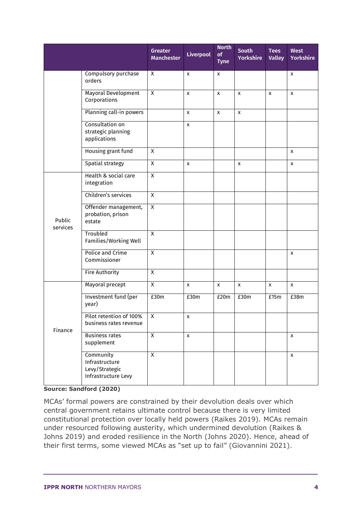|                    |                                                                      | <b>Greater</b><br><b>Manchester</b> | <b>Liverpool</b>   | <b>North</b><br>of<br><b>Tyne</b> | <b>South</b><br><b>Yorkshire</b> | <b>Tees</b><br><b>Valley</b> | <b>West</b><br><b>Yorkshire</b> |
|--------------------|----------------------------------------------------------------------|-------------------------------------|--------------------|-----------------------------------|----------------------------------|------------------------------|---------------------------------|
|                    | Compulsory purchase<br>orders                                        | $\overline{X}$                      | X                  | $\pmb{\chi}$                      |                                  |                              | $\pmb{\times}$                  |
|                    | Mayoral Development<br>Corporations                                  | $\overline{X}$                      | X                  | $\mathsf{x}$                      | X                                | X                            | $\pmb{\mathsf{x}}$              |
|                    | Planning call-in powers                                              |                                     | X                  | $\pmb{\mathsf{X}}$                | X                                |                              |                                 |
|                    | Consultation on<br>strategic planning<br>applications                |                                     | X                  |                                   |                                  |                              |                                 |
|                    | Housing grant fund                                                   | $\overline{X}$                      |                    |                                   |                                  |                              | X                               |
|                    | Spatial strategy                                                     | $\overline{X}$                      | $\pmb{\mathsf{x}}$ |                                   | X                                |                              | $\pmb{\chi}$                    |
|                    | Health & social care<br>integration                                  | $\overline{X}$                      |                    |                                   |                                  |                              |                                 |
|                    | Children's services                                                  | $\overline{X}$                      |                    |                                   |                                  |                              |                                 |
| Public<br>services | Offender management,<br>probation, prison<br>estate                  | $\overline{X}$                      |                    |                                   |                                  |                              |                                 |
|                    | Troubled<br>Families/Working Well                                    | $\overline{X}$                      |                    |                                   |                                  |                              |                                 |
|                    | Police and Crime<br>Commissioner                                     | $\overline{X}$                      |                    |                                   |                                  |                              | X                               |
|                    | <b>Fire Authority</b>                                                | $\overline{\mathsf{X}}$             |                    |                                   |                                  |                              |                                 |
| Finance            | Mayoral precept                                                      | $\overline{X}$                      | $\pmb{\mathsf{X}}$ | $\pmb{\mathsf{X}}$                | $\pmb{\mathsf{X}}$               | $\pmb{\chi}$                 | $\pmb{\mathsf{x}}$              |
|                    | Investment fund (per<br>year)                                        | E30m                                | £30m               | E20m                              | E30m                             | E15m                         | E38m                            |
|                    | Pilot retention of 100%<br>business rates revenue                    | $\overline{\mathsf{X}}$             | x                  |                                   |                                  |                              |                                 |
|                    | <b>Business rates</b><br>supplement                                  | $\overline{X}$                      | $\pmb{\mathsf{x}}$ |                                   |                                  |                              | $\mathsf X$                     |
|                    | Community<br>Infrastructure<br>Levy/Strategic<br>Infrastructure Levy | $\overline{X}$                      |                    |                                   |                                  |                              | X                               |

**Source: Sandford (2020)**

MCAs' formal powers are constrained by their devolution deals over which central government retains ultimate control because there is very limited constitutional protection over locally held powers (Raikes 2019). MCAs remain under resourced following austerity, which undermined devolution (Raikes & Johns 2019) and eroded resilience in the North (Johns 2020). Hence, ahead of their first terms, some viewed MCAs as "set up to fail" (Giovannini 2021).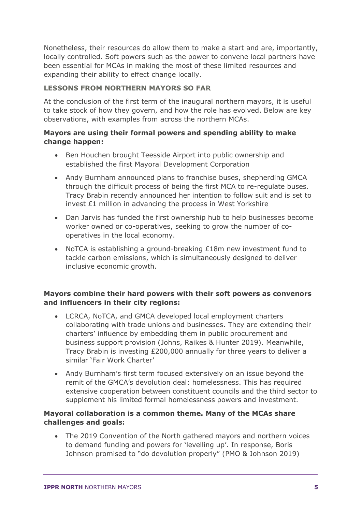Nonetheless, their resources do allow them to make a start and are, importantly, locally controlled. Soft powers such as the power to convene local partners have been essential for MCAs in making the most of these limited resources and expanding their ability to effect change locally.

#### **LESSONS FROM NORTHERN MAYORS SO FAR**

At the conclusion of the first term of the inaugural northern mayors, it is useful to take stock of how they govern, and how the role has evolved. Below are key observations, with examples from across the northern MCAs.

#### **Mayors are using their formal powers and spending ability to make change happen:**

- Ben Houchen brought Teesside Airport into public ownership and established the first Mayoral Development Corporation
- Andy Burnham announced plans to franchise buses, shepherding GMCA through the difficult process of being the first MCA to re-regulate buses. Tracy Brabin recently announced her intention to follow suit and is set to invest £1 million in advancing the process in West Yorkshire
- Dan Jarvis has funded the first ownership hub to help businesses become worker owned or co-operatives, seeking to grow the number of cooperatives in the local economy.
- NoTCA is establishing a ground-breaking £18m new investment fund to tackle carbon emissions, which is simultaneously designed to deliver inclusive economic growth.

#### **Mayors combine their hard powers with their soft powers as convenors and influencers in their city regions:**

- LCRCA, NoTCA, and GMCA developed local employment charters collaborating with trade unions and businesses. They are extending their charters' influence by embedding them in public procurement and business support provision (Johns, Raikes & Hunter 2019). Meanwhile, Tracy Brabin is investing £200,000 annually for three years to deliver a similar 'Fair Work Charter'
- Andy Burnham's first term focused extensively on an issue beyond the remit of the GMCA's devolution deal: homelessness. This has required extensive cooperation between constituent councils and the third sector to supplement his limited formal homelessness powers and investment.

#### **Mayoral collaboration is a common theme. Many of the MCAs share challenges and goals:**

• The 2019 Convention of the North gathered mayors and northern voices to demand funding and powers for 'levelling up'. In response, Boris Johnson promised to "do devolution properly" (PMO & Johnson 2019)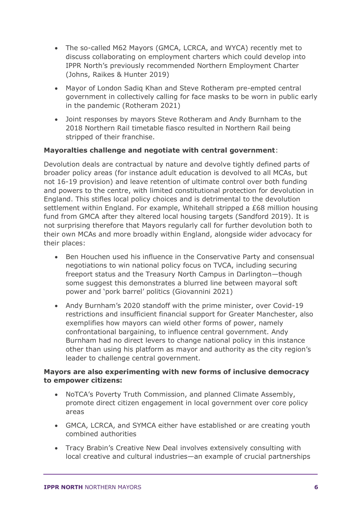- The so-called M62 Mayors (GMCA, LCRCA, and WYCA) recently met to discuss collaborating on employment charters which could develop into IPPR North's previously recommended Northern Employment Charter (Johns, Raikes & Hunter 2019)
- Mayor of London Sadiq Khan and Steve Rotheram pre-empted central government in collectively calling for face masks to be worn in public early in the pandemic (Rotheram 2021)
- Joint responses by mayors Steve Rotheram and Andy Burnham to the 2018 Northern Rail timetable fiasco resulted in Northern Rail being stripped of their franchise.

#### **Mayoralties challenge and negotiate with central government**:

Devolution deals are contractual by nature and devolve tightly defined parts of broader policy areas (for instance adult education is devolved to all MCAs, but not 16-19 provision) and leave retention of ultimate control over both funding and powers to the centre, with limited constitutional protection for devolution in England. This stifles local policy choices and is detrimental to the devolution settlement within England. For example, Whitehall stripped a £68 million housing fund from GMCA after they altered local housing targets (Sandford 2019). It is not surprising therefore that Mayors regularly call for further devolution both to their own MCAs and more broadly within England, alongside wider advocacy for their places:

- Ben Houchen used his influence in the Conservative Party and consensual negotiations to win national policy focus on TVCA, including securing freeport status and the Treasury North Campus in Darlington—though some suggest this demonstrates a blurred line between mayoral soft power and 'pork barrel' politics (Giovannini 2021)
- Andy Burnham's 2020 standoff with the prime minister, over Covid-19 restrictions and insufficient financial support for Greater Manchester, also exemplifies how mayors can wield other forms of power, namely confrontational bargaining, to influence central government. Andy Burnham had no direct levers to change national policy in this instance other than using his platform as mayor and authority as the city region's leader to challenge central government.

#### **Mayors are also experimenting with new forms of inclusive democracy to empower citizens:**

- NoTCA's Poverty Truth Commission, and planned Climate Assembly, promote direct citizen engagement in local government over core policy areas
- GMCA, LCRCA, and SYMCA either have established or are creating youth combined authorities
- Tracy Brabin's Creative New Deal involves extensively consulting with local creative and cultural industries—an example of crucial partnerships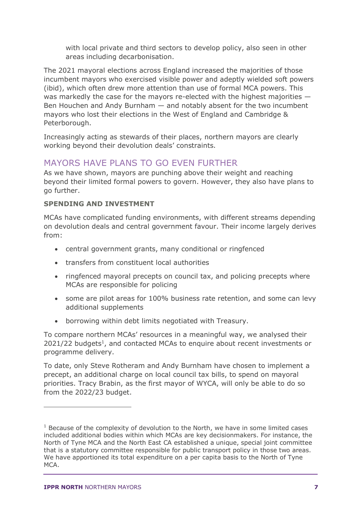with local private and third sectors to develop policy, also seen in other areas including decarbonisation.

The 2021 mayoral elections across England increased the majorities of those incumbent mayors who exercised visible power and adeptly wielded soft powers (ibid), which often drew more attention than use of formal MCA powers. This was markedly the case for the mayors re-elected with the highest majorities  $-$ Ben Houchen and Andy Burnham — and notably absent for the two incumbent mayors who lost their elections in the West of England and Cambridge & Peterborough.

Increasingly acting as stewards of their places, northern mayors are clearly working beyond their devolution deals' constraints.

# MAYORS HAVE PLANS TO GO EVEN FURTHER

As we have shown, mayors are punching above their weight and reaching beyond their limited formal powers to govern. However, they also have plans to go further.

## **SPENDING AND INVESTMENT**

MCAs have complicated funding environments, with different streams depending on devolution deals and central government favour. Their income largely derives from:

- central government grants, many conditional or ringfenced
- transfers from constituent local authorities
- ringfenced mayoral precepts on council tax, and policing precepts where MCAs are responsible for policing
- some are pilot areas for 100% business rate retention, and some can levy additional supplements
- borrowing within debt limits negotiated with Treasury.

To compare northern MCAs' resources in a meaningful way, we analysed their 2021/22 budgets<sup>1</sup>, and contacted MCAs to enquire about recent investments or programme delivery.

To date, only Steve Rotheram and Andy Burnham have chosen to implement a precept, an additional charge on local council tax bills, to spend on mayoral priorities. Tracy Brabin, as the first mayor of WYCA, will only be able to do so from the 2022/23 budget.

 $1$  Because of the complexity of devolution to the North, we have in some limited cases included additional bodies within which MCAs are key decisionmakers. For instance, the North of Tyne MCA and the North East CA established a unique, special joint committee that is a statutory committee responsible for public transport policy in those two areas. We have apportioned its total expenditure on a per capita basis to the North of Tyne MCA.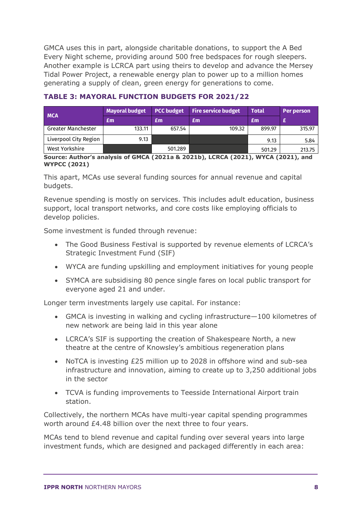GMCA uses this in part, alongside charitable donations, to support the A Bed Every Night scheme, providing around 500 free bedspaces for rough sleepers. Another example is LCRCA part using theirs to develop and advance the Mersey Tidal Power Project, a renewable energy plan to power up to a million homes generating a supply of clean, green energy for generations to come.

| <b>MCA</b>                | <b>Mayoral budget</b> | PCC budget | <b>Fire service budget</b> | <b>Total</b> | Per person |
|---------------------------|-----------------------|------------|----------------------------|--------------|------------|
|                           | Em                    | £m         | Em                         | £m           |            |
| <b>Greater Manchester</b> | 133.11                | 657.54     | 109.32                     | 899.97       | 315.97     |
| Liverpool City Region     | 9.13                  |            |                            | 9.13         | 5.84       |
| West Yorkshire            |                       | 501.289    |                            | 501.29       | 213.75     |

#### **TABLE 3: MAYORAL FUNCTION BUDGETS FOR 2021/22**

**Source: Author's analysis of GMCA (2021a & 2021b), LCRCA (2021), WYCA (2021), and WYPCC (2021)**

This apart, MCAs use several funding sources for annual revenue and capital budgets.

Revenue spending is mostly on services. This includes adult education, business support, local transport networks, and core costs like employing officials to develop policies.

Some investment is funded through revenue:

- The Good Business Festival is supported by revenue elements of LCRCA's Strategic Investment Fund (SIF)
- WYCA are funding upskilling and employment initiatives for young people
- SYMCA are subsidising 80 pence single fares on local public transport for everyone aged 21 and under.

Longer term investments largely use capital. For instance:

- GMCA is investing in walking and cycling infrastructure—100 kilometres of new network are being laid in this year alone
- LCRCA's SIF is supporting the creation of Shakespeare North, a new theatre at the centre of Knowsley's ambitious regeneration plans
- NoTCA is investing £25 million up to 2028 in offshore wind and sub-sea infrastructure and innovation, aiming to create up to 3,250 additional jobs in the sector
- TCVA is funding improvements to Teesside International Airport train station.

Collectively, the northern MCAs have multi-year capital spending programmes worth around £4.48 billion over the next three to four years.

MCAs tend to blend revenue and capital funding over several years into large investment funds, which are designed and packaged differently in each area: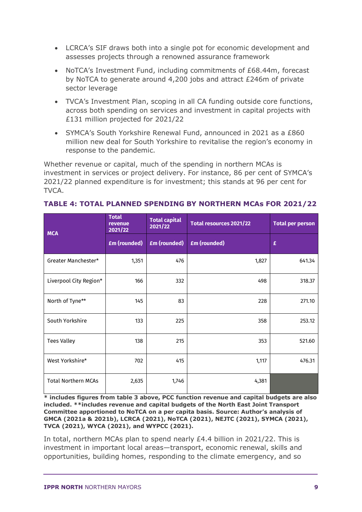- LCRCA's SIF draws both into a single pot for economic development and assesses projects through a renowned assurance framework
- NoTCA's Investment Fund, including commitments of £68.44m, forecast by NoTCA to generate around 4,200 jobs and attract £246m of private sector leverage
- TVCA's Investment Plan, scoping in all CA funding outside core functions, across both spending on services and investment in capital projects with £131 million projected for 2021/22
- SYMCA's South Yorkshire Renewal Fund, announced in 2021 as a £860 million new deal for South Yorkshire to revitalise the region's economy in response to the pandemic.

Whether revenue or capital, much of the spending in northern MCAs is investment in services or project delivery. For instance, 86 per cent of SYMCA's 2021/22 planned expenditure is for investment; this stands at 96 per cent for TVCA.

| <b>MCA</b>                 | <b>Total</b><br>revenue<br>2021/22 | <b>Total capital</b><br>2021/22 | Total resources 2021/22 | <b>Total per person</b> |
|----------------------------|------------------------------------|---------------------------------|-------------------------|-------------------------|
|                            | <b>£m</b> (rounded)                | <b>£m</b> (rounded)             | <b>£m</b> (rounded)     | £                       |
| Greater Manchester*        | 1,351                              | 476                             | 1,827                   | 641.34                  |
| Liverpool City Region*     | 166                                | 332                             | 498                     | 318.37                  |
| North of Tyne**            | 145                                | 83                              | 228                     | 271.10                  |
| South Yorkshire            | 133                                | 225                             | 358                     | 253.12                  |
| <b>Tees Valley</b>         | 138                                | 215                             | 353                     | 521.60                  |
| West Yorkshire*            | 702                                | 415                             | 1,117                   | 476.31                  |
| <b>Total Northern MCAs</b> | 2,635                              | 1,746                           | 4,381                   |                         |

#### **TABLE 4: TOTAL PLANNED SPENDING BY NORTHERN MCAs FOR 2021/22**

**\* includes figures from table 3 above, PCC function revenue and capital budgets are also included. \*\*includes revenue and capital budgets of the North East Joint Transport Committee apportioned to NoTCA on a per capita basis. Source: Author's analysis of GMCA (2021a & 2021b), LCRCA (2021), NoTCA (2021), NEJTC (2021), SYMCA (2021), TVCA (2021), WYCA (2021), and WYPCC (2021).**

In total, northern MCAs plan to spend nearly £4.4 billion in 2021/22. This is investment in important local areas—transport, economic renewal, skills and opportunities, building homes, responding to the climate emergency, and so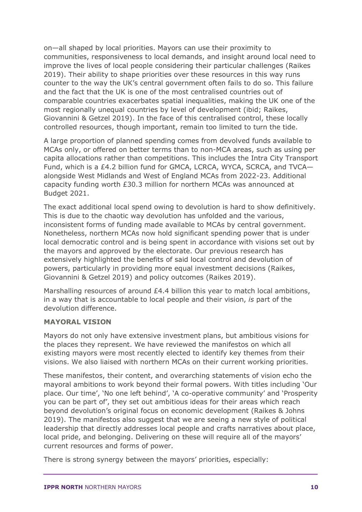on—all shaped by local priorities. Mayors can use their proximity to communities, responsiveness to local demands, and insight around local need to improve the lives of local people considering their particular challenges (Raikes 2019). Their ability to shape priorities over these resources in this way runs counter to the way the UK's central government often fails to do so. This failure and the fact that the UK is one of the most centralised countries out of comparable countries exacerbates spatial inequalities, making the UK one of the most regionally unequal countries by level of development (ibid; Raikes, Giovannini & Getzel 2019). In the face of this centralised control, these locally controlled resources, though important, remain too limited to turn the tide.

A large proportion of planned spending comes from devolved funds available to MCAs only, or offered on better terms than to non-MCA areas, such as using per capita allocations rather than competitions. This includes the Intra City Transport Fund, which is a £4.2 billion fund for GMCA, LCRCA, WYCA, SCRCA, and TVCA alongside West Midlands and West of England MCAs from 2022-23. Additional capacity funding worth £30.3 million for northern MCAs was announced at Budget 2021.

The exact additional local spend owing to devolution is hard to show definitively. This is due to the chaotic way devolution has unfolded and the various, inconsistent forms of funding made available to MCAs by central government. Nonetheless, northern MCAs now hold significant spending power that is under local democratic control and is being spent in accordance with visions set out by the mayors and approved by the electorate. Our previous research has extensively highlighted the benefits of said local control and devolution of powers, particularly in providing more equal investment decisions (Raikes, Giovannini & Getzel 2019) and policy outcomes (Raikes 2019).

Marshalling resources of around £4.4 billion this year to match local ambitions, in a way that is accountable to local people and their vision, *is* part of the devolution difference.

#### **MAYORAL VISION**

Mayors do not only have extensive investment plans, but ambitious visions for the places they represent. We have reviewed the manifestos on which all existing mayors were most recently elected to identify key themes from their visions. We also liaised with northern MCAs on their current working priorities.

These manifestos, their content, and overarching statements of vision echo the mayoral ambitions to work beyond their formal powers. With titles including 'Our place. Our time', 'No one left behind', 'A co-operative community' and 'Prosperity you can be part of', they set out ambitious ideas for their areas which reach beyond devolution's original focus on economic development (Raikes & Johns 2019). The manifestos also suggest that we are seeing a new style of political leadership that directly addresses local people and crafts narratives about place, local pride, and belonging. Delivering on these will require all of the mayors' current resources and forms of power.

There is strong synergy between the mayors' priorities, especially: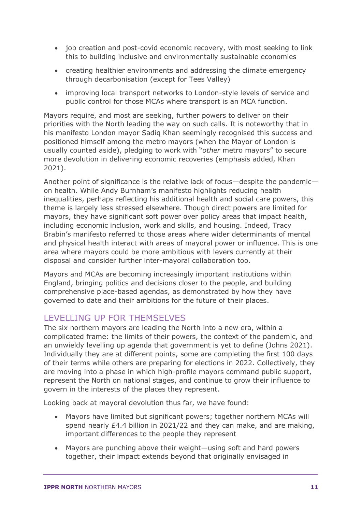- job creation and post-covid economic recovery, with most seeking to link this to building inclusive and environmentally sustainable economies
- creating healthier environments and addressing the climate emergency through decarbonisation (except for Tees Valley)
- improving local transport networks to London-style levels of service and public control for those MCAs where transport is an MCA function.

Mayors require, and most are seeking, further powers to deliver on their priorities with the North leading the way on such calls. It is noteworthy that in his manifesto London mayor Sadiq Khan seemingly recognised this success and positioned himself among the metro mayors (when the Mayor of London is usually counted aside), pledging to work with "*other* metro mayors" to secure more devolution in delivering economic recoveries (emphasis added, Khan 2021).

Another point of significance is the relative lack of focus—despite the pandemic on health. While Andy Burnham's manifesto highlights reducing health inequalities, perhaps reflecting his additional health and social care powers, this theme is largely less stressed elsewhere. Though direct powers are limited for mayors, they have significant soft power over policy areas that impact health, including economic inclusion, work and skills, and housing. Indeed, Tracy Brabin's manifesto referred to those areas where wider determinants of mental and physical health interact with areas of mayoral power or influence. This is one area where mayors could be more ambitious with levers currently at their disposal and consider further inter-mayoral collaboration too.

Mayors and MCAs are becoming increasingly important institutions within England, bringing politics and decisions closer to the people, and building comprehensive place-based agendas, as demonstrated by how they have governed to date and their ambitions for the future of their places.

# LEVELLING UP FOR THEMSELVES

The six northern mayors are leading the North into a new era, within a complicated frame: the limits of their powers, the context of the pandemic, and an unwieldy levelling up agenda that government is yet to define (Johns 2021). Individually they are at different points, some are completing the first 100 days of their terms while others are preparing for elections in 2022. Collectively, they are moving into a phase in which high-profile mayors command public support, represent the North on national stages, and continue to grow their influence to govern in the interests of the places they represent.

Looking back at mayoral devolution thus far, we have found:

- Mayors have limited but significant powers; together northern MCAs will spend nearly £4.4 billion in 2021/22 and they can make, and are making, important differences to the people they represent
- Mayors are punching above their weight—using soft and hard powers together, their impact extends beyond that originally envisaged in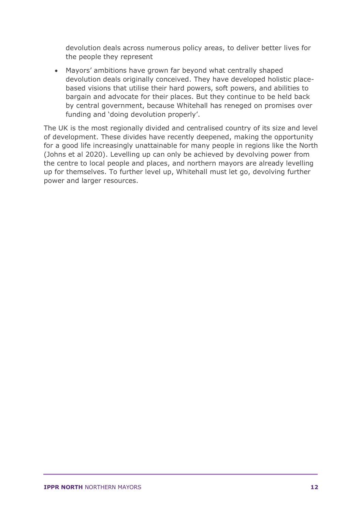devolution deals across numerous policy areas, to deliver better lives for the people they represent

• Mayors' ambitions have grown far beyond what centrally shaped devolution deals originally conceived. They have developed holistic placebased visions that utilise their hard powers, soft powers, and abilities to bargain and advocate for their places. But they continue to be held back by central government, because Whitehall has reneged on promises over funding and 'doing devolution properly'.

The UK is the most regionally divided and centralised country of its size and level of development. These divides have recently deepened, making the opportunity for a good life increasingly unattainable for many people in regions like the North (Johns et al 2020). Levelling up can only be achieved by devolving power from the centre to local people and places, and northern mayors are already levelling up for themselves. To further level up, Whitehall must let go, devolving further power and larger resources.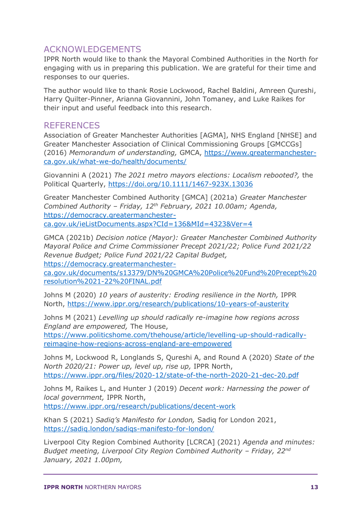## ACKNOWLEDGEMENTS

IPPR North would like to thank the Mayoral Combined Authorities in the North for engaging with us in preparing this publication. We are grateful for their time and responses to our queries.

The author would like to thank Rosie Lockwood, Rachel Baldini, Amreen Qureshi, Harry Quilter-Pinner, Arianna Giovannini, John Tomaney, and Luke Raikes for their input and useful feedback into this research.

## **REFERENCES**

Association of Greater Manchester Authorities [AGMA], NHS England [NHSE] and Greater Manchester Association of Clinical Commissioning Groups [GMCCGs] (2016) *Memorandum of understanding,* GMCA, [https://www.greatermanchester](https://www.greatermanchester-ca.gov.uk/what-we-do/health/documents/)[ca.gov.uk/what-we-do/health/documents/](https://www.greatermanchester-ca.gov.uk/what-we-do/health/documents/)

Giovannini A (2021) *The 2021 metro mayors elections: Localism rebooted?,* the Political Quarterly,<https://doi.org/10.1111/1467-923X.13036>

Greater Manchester Combined Authority [GMCA] (2021a) *Greater Manchester Combined Authority – Friday, 12th February, 2021 10.00am; Agenda,*  [https://democracy.greatermanchester](https://democracy.greatermanchester-ca.gov.uk/ieListDocuments.aspx?CId=136&MId=4323&Ver=4)[ca.gov.uk/ieListDocuments.aspx?CId=136&MId=4323&Ver=4](https://democracy.greatermanchester-ca.gov.uk/ieListDocuments.aspx?CId=136&MId=4323&Ver=4)

GMCA (2021b) *Decision notice (Mayor): Greater Manchester Combined Authority Mayoral Police and Crime Commissioner Precept 2021/22; Police Fund 2021/22 Revenue Budget; Police Fund 2021/22 Capital Budget,* [https://democracy.greatermanchester-](https://democracy.greatermanchester-ca.gov.uk/documents/s13379/DN%20GMCA%20Police%20Fund%20Precept%20resolution%2021-22%20FINAL.pdf)

[ca.gov.uk/documents/s13379/DN%20GMCA%20Police%20Fund%20Precept%20](https://democracy.greatermanchester-ca.gov.uk/documents/s13379/DN%20GMCA%20Police%20Fund%20Precept%20resolution%2021-22%20FINAL.pdf) [resolution%2021-22%20FINAL.pdf](https://democracy.greatermanchester-ca.gov.uk/documents/s13379/DN%20GMCA%20Police%20Fund%20Precept%20resolution%2021-22%20FINAL.pdf)

Johns M (2020) *10 years of austerity: Eroding resilience in the North,* IPPR North,<https://www.ippr.org/research/publications/10-years-of-austerity>

Johns M (2021) *Levelling up should radically re-imagine how regions across England are empowered,* The House,

[https://www.politicshome.com/thehouse/article/levelling-up-should-radically](https://www.politicshome.com/thehouse/article/levelling-up-should-radically-reimagine-how-regions-across-england-are-empowered)[reimagine-how-regions-across-england-are-empowered](https://www.politicshome.com/thehouse/article/levelling-up-should-radically-reimagine-how-regions-across-england-are-empowered)

Johns M, Lockwood R, Longlands S, Qureshi A, and Round A (2020) *State of the North 2020/21: Power up, level up, rise up,* IPPR North, <https://www.ippr.org/files/2020-12/state-of-the-north-2020-21-dec-20.pdf>

Johns M, Raikes L, and Hunter J (2019) *Decent work: Harnessing the power of local government,* IPPR North, <https://www.ippr.org/research/publications/decent-work>

Khan S (2021) *Sadiq's Manifesto for London,* Sadiq for London 2021, <https://sadiq.london/sadiqs-manifesto-for-london/>

Liverpool City Region Combined Authority [LCRCA] (2021) *Agenda and minutes: Budget meeting, Liverpool City Region Combined Authority - Friday, 22<sup>nd</sup> January, 2021 1.00pm,*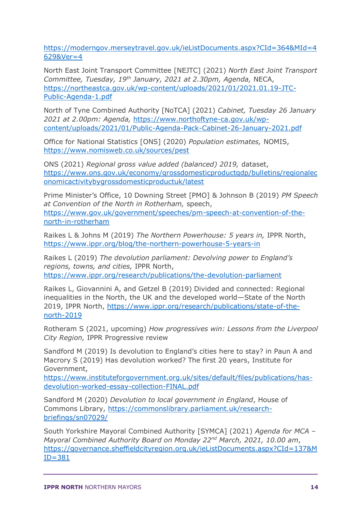[https://moderngov.merseytravel.gov.uk/ieListDocuments.aspx?CId=364&MId=4](https://moderngov.merseytravel.gov.uk/ieListDocuments.aspx?CId=364&MId=4629&Ver=4) [629&Ver=4](https://moderngov.merseytravel.gov.uk/ieListDocuments.aspx?CId=364&MId=4629&Ver=4)

North East Joint Transport Committee [NEJTC] (2021) *North East Joint Transport Committee, Tuesday, 19th January, 2021 at 2.30pm, Agenda,* NECA, [https://northeastca.gov.uk/wp-content/uploads/2021/01/2021.01.19-JTC-](https://northeastca.gov.uk/wp-content/uploads/2021/01/2021.01.19-JTC-Public-Agenda-1.pdf)[Public-Agenda-1.pdf](https://northeastca.gov.uk/wp-content/uploads/2021/01/2021.01.19-JTC-Public-Agenda-1.pdf)

North of Tyne Combined Authority [NoTCA] (2021) *Cabinet, Tuesday 26 January 2021 at 2.00pm: Agenda,* [https://www.northoftyne-ca.gov.uk/wp](https://www.northoftyne-ca.gov.uk/wp-content/uploads/2021/01/Public-Agenda-Pack-Cabinet-26-January-2021.pdf)[content/uploads/2021/01/Public-Agenda-Pack-Cabinet-26-January-2021.pdf](https://www.northoftyne-ca.gov.uk/wp-content/uploads/2021/01/Public-Agenda-Pack-Cabinet-26-January-2021.pdf)

Office for National Statistics [ONS] (2020) *Population estimates,* NOMIS, <https://www.nomisweb.co.uk/sources/pest>

ONS (2021) *Regional gross value added (balanced) 2019,* dataset, [https://www.ons.gov.uk/economy/grossdomesticproductgdp/bulletins/regionalec](https://www.ons.gov.uk/economy/grossdomesticproductgdp/bulletins/regionaleconomicactivitybygrossdomesticproductuk/latest) [onomicactivitybygrossdomesticproductuk/latest](https://www.ons.gov.uk/economy/grossdomesticproductgdp/bulletins/regionaleconomicactivitybygrossdomesticproductuk/latest)

Prime Minister's Office, 10 Downing Street [PMO] & Johnson B (2019) *PM Speech at Convention of the North in Rotherham,* speech, [https://www.gov.uk/government/speeches/pm-speech-at-convention-of-the](https://www.gov.uk/government/speeches/pm-speech-at-convention-of-the-north-in-rotherham)[north-in-rotherham](https://www.gov.uk/government/speeches/pm-speech-at-convention-of-the-north-in-rotherham)

Raikes L & Johns M (2019) *The Northern Powerhouse: 5 years in,* IPPR North, <https://www.ippr.org/blog/the-northern-powerhouse-5-years-in>

Raikes L (2019) *The devolution parliament: Devolving power to England's regions, towns, and cities,* IPPR North, <https://www.ippr.org/research/publications/the-devolution-parliament>

Raikes L, Giovannini A, and Getzel B (2019) Divided and connected: Regional inequalities in the North, the UK and the developed world—State of the North 2019, IPPR North, [https://www.ippr.org/research/publications/state-of-the](https://www.ippr.org/research/publications/state-of-the-north-2019)[north-2019](https://www.ippr.org/research/publications/state-of-the-north-2019)

Rotheram S (2021, upcoming) *How progressives win: Lessons from the Liverpool City Region,* IPPR Progressive review

Sandford M (2019) Is devolution to England's cities here to stay? in Paun A and Macrory S (2019) Has devolution worked? The first 20 years, Institute for Government,

[https://www.instituteforgovernment.org.uk/sites/default/files/publications/has](https://www.instituteforgovernment.org.uk/sites/default/files/publications/has-devolution-worked-essay-collection-FINAL.pdf)[devolution-worked-essay-collection-FINAL.pdf](https://www.instituteforgovernment.org.uk/sites/default/files/publications/has-devolution-worked-essay-collection-FINAL.pdf)

Sandford M (2020) *Devolution to local government in England*, House of Commons Library, [https://commonslibrary.parliament.uk/research](https://commonslibrary.parliament.uk/research-briefings/sn07029/)[briefings/sn07029/](https://commonslibrary.parliament.uk/research-briefings/sn07029/)

South Yorkshire Mayoral Combined Authority [SYMCA] (2021) *Agenda for MCA – Mayoral Combined Authority Board on Monday 22nd March, 2021, 10.00 am*, [https://governance.sheffieldcityregion.org.uk/ieListDocuments.aspx?CId=137&M](https://governance.sheffieldcityregion.org.uk/ieListDocuments.aspx?CId=137&MID=381)  $ID = 381$